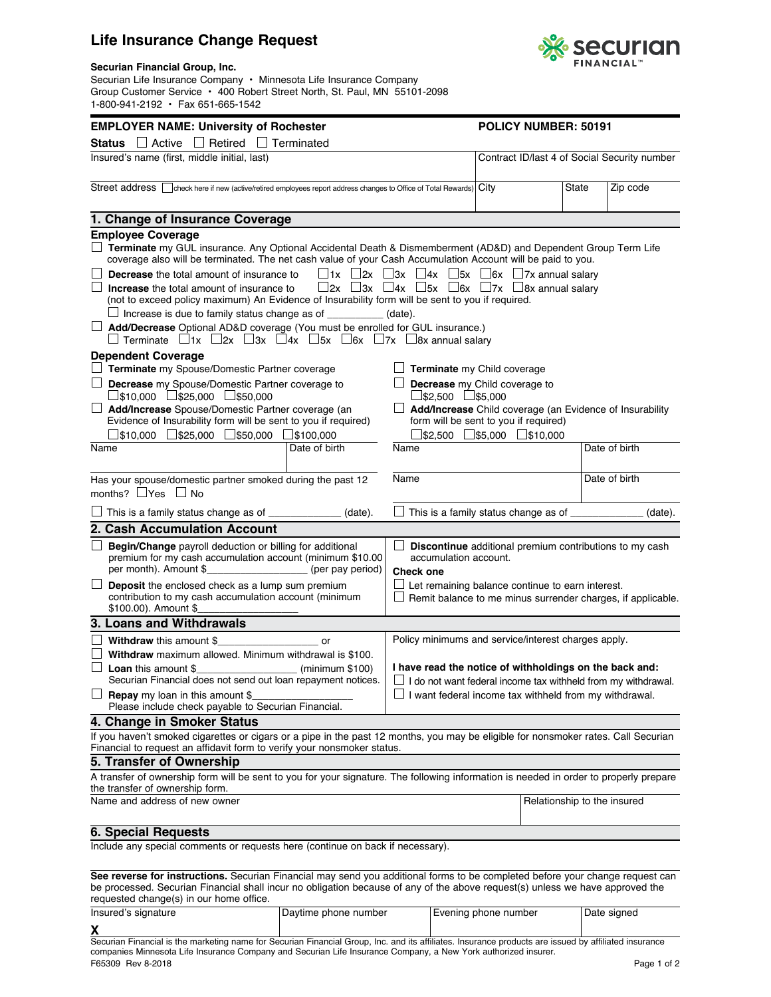## **Life Insurance Change Request**



## **Securian Financial Group, Inc.**

Securian Life Insurance Company • Minnesota Life Insurance Company Group Customer Service • 400 Robert Street North, St. Paul, MN 55101-2098 1-800-941-2192 • Fax 651-665-1542

| <b>EMPLOYER NAME: University of Rochester</b>                                                                                                                                                                                                                                            |                                                                                                                               |                                                                                                                                                    | <b>POLICY NUMBER: 50191</b> |                             |               |
|------------------------------------------------------------------------------------------------------------------------------------------------------------------------------------------------------------------------------------------------------------------------------------------|-------------------------------------------------------------------------------------------------------------------------------|----------------------------------------------------------------------------------------------------------------------------------------------------|-----------------------------|-----------------------------|---------------|
| $\Box$ Active $\Box$ Retired $\Box$ Terminated<br>Status                                                                                                                                                                                                                                 |                                                                                                                               |                                                                                                                                                    |                             |                             |               |
| Insured's name (first, middle initial, last)                                                                                                                                                                                                                                             |                                                                                                                               | Contract ID/last 4 of Social Security number                                                                                                       |                             |                             |               |
| Street address   check here if new (active/retired employees report address changes to Office of Total Rewards) City                                                                                                                                                                     |                                                                                                                               |                                                                                                                                                    |                             | State                       | Zip code      |
| 1. Change of Insurance Coverage                                                                                                                                                                                                                                                          |                                                                                                                               |                                                                                                                                                    |                             |                             |               |
| <b>Employee Coverage</b>                                                                                                                                                                                                                                                                 |                                                                                                                               |                                                                                                                                                    |                             |                             |               |
| $\Box$ Terminate my GUL insurance. Any Optional Accidental Death & Dismemberment (AD&D) and Dependent Group Term Life<br>coverage also will be terminated. The net cash value of your Cash Accumulation Account will be paid to you.<br><b>Decrease</b> the total amount of insurance to |                                                                                                                               | $\Box$ 1x $\Box$ 2x $\Box$ 3x $\Box$ 4x $\Box$ 5x $\Box$ 6x $\Box$ 7x annual salary                                                                |                             |                             |               |
| <b>Increase</b> the total amount of insurance to<br>(not to exceed policy maximum) An Evidence of Insurability form will be sent to you if required.                                                                                                                                     |                                                                                                                               | $\Box$ 2x $\Box$ 3x $\Box$ 4x $\Box$ 5x $\Box$ 6x $\Box$ 7x $\Box$ 8x annual salary                                                                |                             |                             |               |
| Increase is due to family status change as of ____________ (date).<br>Add/Decrease Optional AD&D coverage (You must be enrolled for GUL insurance.)<br>$\Box$ Terminate $\Box$ 1x $\Box$ 2x $\Box$ 3x $\Box$ 4x $\Box$ 5x $\Box$ 6x $\Box$ 7x $\Box$ 8x annual salary                    |                                                                                                                               |                                                                                                                                                    |                             |                             |               |
| <b>Dependent Coverage</b><br>Terminate my Spouse/Domestic Partner coverage                                                                                                                                                                                                               |                                                                                                                               | $\Box$ Terminate my Child coverage                                                                                                                 |                             |                             |               |
| $\Box$ Decrease my Spouse/Domestic Partner coverage to<br>$\Box$ \$10,000 $\Box$ \$25,000 $\Box$ \$50,000                                                                                                                                                                                |                                                                                                                               | $\Box$ Decrease my Child coverage to<br>$\Box$ \$2,500 $\Box$ \$5,000                                                                              |                             |                             |               |
| <b>L</b> Add/Increase Spouse/Domestic Partner coverage (an<br>Evidence of Insurability form will be sent to you if required)<br>$\Box$ \$10,000 $\Box$ \$25,000 $\Box$ \$50,000 $\Box$ \$100,000                                                                                         |                                                                                                                               | Add/Increase Child coverage (an Evidence of Insurability<br>form will be sent to you if required)<br>$\Box$ \$2,500 $\Box$ \$5,000 $\Box$ \$10,000 |                             |                             |               |
| Name                                                                                                                                                                                                                                                                                     | Date of birth                                                                                                                 | Name                                                                                                                                               |                             |                             | Date of birth |
| Has your spouse/domestic partner smoked during the past 12<br>months? $\Box$ Yes $\Box$ No                                                                                                                                                                                               |                                                                                                                               | Name                                                                                                                                               | Date of birth               |                             |               |
| $\Box$ This is a family status change as of $\Box$                                                                                                                                                                                                                                       | (date).                                                                                                                       | $\Box$ This is a family status change as of $\rule{1em}{0.15mm}$                                                                                   |                             |                             | (date).       |
| 2. Cash Accumulation Account                                                                                                                                                                                                                                                             |                                                                                                                               |                                                                                                                                                    |                             |                             |               |
| Begin/Change payroll deduction or billing for additional<br>premium for my cash accumulation account (minimum \$10.00<br>per month). Amount \$_______________________ (per pay period)                                                                                                   |                                                                                                                               | <b>Discontinue</b> additional premium contributions to my cash<br>accumulation account.<br><b>Check one</b>                                        |                             |                             |               |
| Deposit the enclosed check as a lump sum premium<br>contribution to my cash accumulation account (minimum<br>\$100.00). Amount \$                                                                                                                                                        | $\Box$ Let remaining balance continue to earn interest.<br>$\Box$ Remit balance to me minus surrender charges, if applicable. |                                                                                                                                                    |                             |                             |               |
| 3. Loans and Withdrawals                                                                                                                                                                                                                                                                 |                                                                                                                               |                                                                                                                                                    |                             |                             |               |
| <b>Withdraw</b> this amount \$                                                                                                                                                                                                                                                           |                                                                                                                               | Policy minimums and service/interest charges apply.                                                                                                |                             |                             |               |
| Withdraw maximum allowed. Minimum withdrawal is \$100.<br>$\frac{1}{2}$ (minimum \$100)<br><b>Loan</b> this amount \$<br>Securian Financial does not send out loan repayment notices.                                                                                                    |                                                                                                                               | I have read the notice of withholdings on the back and:<br>I do not want federal income tax withheld from my withdrawal.                           |                             |                             |               |
| $\Box$ <b>Repay</b> my loan in this amount \$<br>Please include check payable to Securian Financial.                                                                                                                                                                                     |                                                                                                                               | I want federal income tax withheld from my withdrawal.                                                                                             |                             |                             |               |
| 4. Change in Smoker Status                                                                                                                                                                                                                                                               |                                                                                                                               |                                                                                                                                                    |                             |                             |               |
| If you haven't smoked cigarettes or cigars or a pipe in the past 12 months, you may be eligible for nonsmoker rates. Call Securian<br>Financial to request an affidavit form to verify your nonsmoker status.                                                                            |                                                                                                                               |                                                                                                                                                    |                             |                             |               |
| 5. Transfer of Ownership                                                                                                                                                                                                                                                                 |                                                                                                                               |                                                                                                                                                    |                             |                             |               |
| A transfer of ownership form will be sent to you for your signature. The following information is needed in order to properly prepare<br>the transfer of ownership form.                                                                                                                 |                                                                                                                               |                                                                                                                                                    |                             |                             |               |
| Name and address of new owner                                                                                                                                                                                                                                                            |                                                                                                                               |                                                                                                                                                    |                             | Relationship to the insured |               |
| <b>6. Special Requests</b>                                                                                                                                                                                                                                                               |                                                                                                                               |                                                                                                                                                    |                             |                             |               |
| Include any special comments or requests here (continue on back if necessary).                                                                                                                                                                                                           |                                                                                                                               |                                                                                                                                                    |                             |                             |               |
| See reverse for instructions. Securian Financial may send you additional forms to be completed before your change request can<br>be processed. Securian Financial shall incur no obligation because of any of the above request(s) unless we have approved the                           |                                                                                                                               |                                                                                                                                                    |                             |                             |               |

requested change(s) in our home office.

| Insured's signature                                                                                                                                   | Daytime phone number | Evening phone number | Date signed |  |  |  |
|-------------------------------------------------------------------------------------------------------------------------------------------------------|----------------------|----------------------|-------------|--|--|--|
|                                                                                                                                                       |                      |                      |             |  |  |  |
| Securian Financial is the marketing name for Securian Financial Group, Inc. and its affiliates. Insurance products are issued by affiliated insurance |                      |                      |             |  |  |  |

F65309 Rev 8-2018 companies Minnesota Life Insurance Company and Securian Life Insurance Company, a New York authorized insurer.